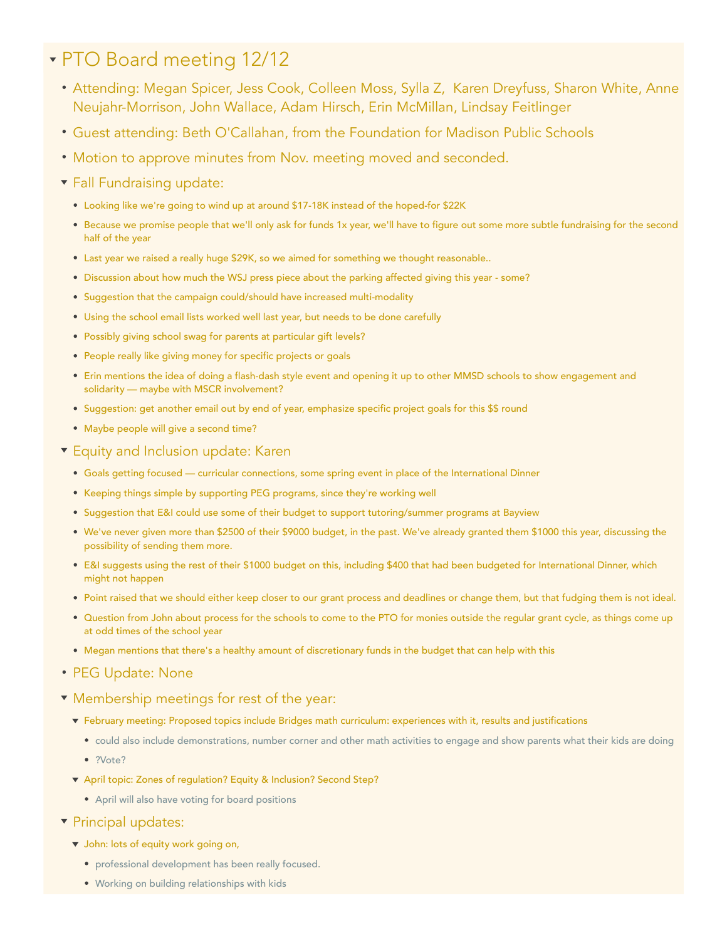## PTO Board meeting 12/12

- Attending: Megan Spicer, Jess Cook, Colleen Moss, Sylla Z, Karen Dreyfuss, Sharon White, Anne Neujahr-Morrison, John Wallace, Adam Hirsch, Erin McMillan, Lindsay Feitlinger
- Guest attending: Beth O'Callahan, from the Foundation for Madison Public Schools
- Motion to approve minutes from Nov. meeting moved and seconded.
- **Fall Fundraising update:** 
	- Looking like we're going to wind up at around \$17-18K instead of the hoped-for \$22K
	- Because we promise people that we'll only ask for funds 1x year, we'll have to figure out some more subtle fundraising for the second half of the year
	- Last year we raised a really huge \$29K, so we aimed for something we thought reasonable..
	- Discussion about how much the WSJ press piece about the parking affected giving this year some?
	- Suggestion that the campaign could/should have increased multi-modality
	- Using the school email lists worked well last year, but needs to be done carefully
	- Possibly giving school swag for parents at particular gift levels?
	- People really like giving money for specific projects or goals
	- Erin mentions the idea of doing a flash-dash style event and opening it up to other MMSD schools to show engagement and solidarity — maybe with MSCR involvement?
	- Suggestion: get another email out by end of year, emphasize specific project goals for this \$\$ round
	- Maybe people will give a second time?
- **Equity and Inclusion update: Karen** 
	- Goals getting focused curricular connections, some spring event in place of the International Dinner
	- Keeping things simple by supporting PEG programs, since they're working well
	- Suggestion that E&I could use some of their budget to support tutoring/summer programs at Bayview
	- We've never given more than \$2500 of their \$9000 budget, in the past. We've already granted them \$1000 this year, discussing the possibility of sending them more.
	- E&I suggests using the rest of their \$1000 budget on this, including \$400 that had been budgeted for International Dinner, which might not happen
	- Point raised that we should either keep closer to our grant process and deadlines or change them, but that fudging them is not ideal.
	- Question from John about process for the schools to come to the PTO for monies outside the regular grant cycle, as things come up at odd times of the school year
	- Megan mentions that there's a healthy amount of discretionary funds in the budget that can help with this
- PEG Update: None
- Membership meetings for rest of the year:
	- February meeting: Proposed topics include Bridges math curriculum: experiences with it, results and justifications
		- could also include demonstrations, number corner and other math activities to engage and show parents what their kids are doing
		- ?Vote?
	- April topic: Zones of regulation? Equity & Inclusion? Second Step?
		- April will also have voting for board positions
- **v** Principal updates:
	- v John: lots of equity work going on,
		- professional development has been really focused.
		- Working on building relationships with kids